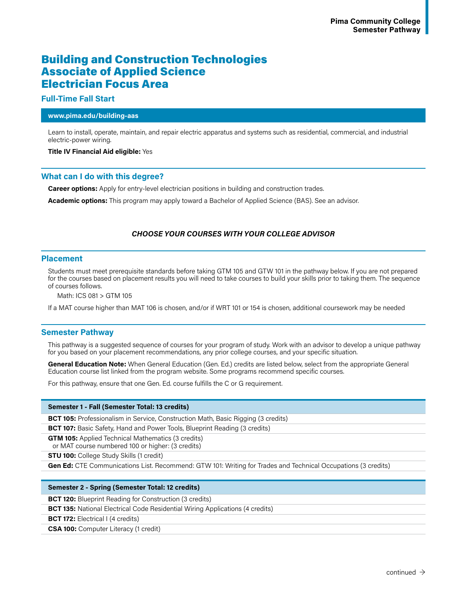# Building and Construction Technologies Associate of Applied Science Electrician Focus Area

## **Full-Time Fall Start**

## **www.pima.edu/building-aas**

Learn to install, operate, maintain, and repair electric apparatus and systems such as residential, commercial, and industrial electric-power wiring.

#### **Title IV Financial Aid eligible:** Yes

## **What can I do with this degree?**

**Career options:** Apply for entry-level electrician positions in building and construction trades.

**Academic options:** This program may apply toward a Bachelor of Applied Science (BAS). See an advisor.

# *CHOOSE YOUR COURSES WITH YOUR COLLEGE ADVISOR*

### **Placement**

Students must meet prerequisite standards before taking GTM 105 and GTW 101 in the pathway below. If you are not prepared for the courses based on placement results you will need to take courses to build your skills prior to taking them. The sequence of courses follows.

Math: ICS 081 > GTM 105

If a MAT course higher than MAT 106 is chosen, and/or if WRT 101 or 154 is chosen, additional coursework may be needed

# **Semester Pathway**

This pathway is a suggested sequence of courses for your program of study. Work with an advisor to develop a unique pathway for you based on your placement recommendations, any prior college courses, and your specific situation.

**General Education Note:** When General Education (Gen. Ed.) credits are listed below, select from the appropriate General Education course list linked from the program website. Some programs recommend specific courses.

For this pathway, ensure that one Gen. Ed. course fulfills the C or G requirement.

#### **Semester 1 - Fall (Semester Total: 13 credits)**

**BCT 105:** Professionalism in Service, Construction Math, Basic Rigging (3 credits)

**BCT 107:** Basic Safety, Hand and Power Tools, Blueprint Reading (3 credits)

**GTM 105:** Applied Technical Mathematics (3 credits)

or MAT course numbered 100 or higher: (3 credits)

**STU 100:** College Study Skills (1 credit)

**Gen Ed:** CTE Communications List. Recommend: GTW 101: Writing for Trades and Technical Occupations (3 credits)

#### **Semester 2 - Spring (Semester Total: 12 credits)**

**BCT 120:** Blueprint Reading for Construction (3 credits)

**BCT 135:** National Electrical Code Residential Wiring Applications (4 credits)

**BCT 172:** Electrical I (4 credits)

**CSA 100:** Computer Literacy (1 credit)